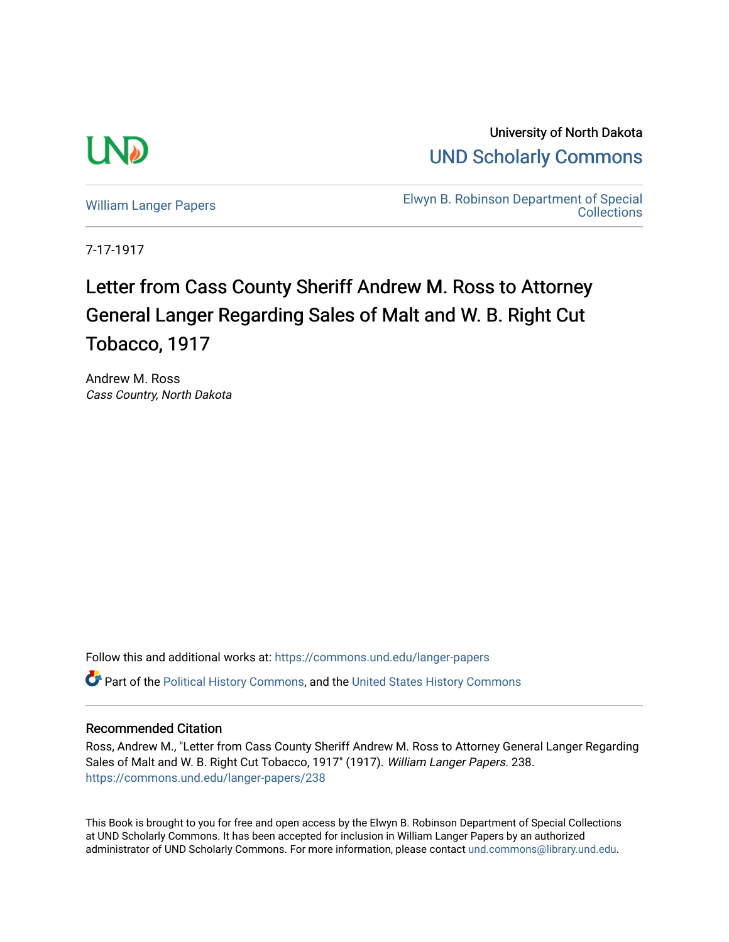

University of North Dakota [UND Scholarly Commons](https://commons.und.edu/) 

[William Langer Papers](https://commons.und.edu/langer-papers) **Elwyn B. Robinson Department of Special** [Collections](https://commons.und.edu/archives) 

7-17-1917

## Letter from Cass County Sheriff Andrew M. Ross to Attorney General Langer Regarding Sales of Malt and W. B. Right Cut Tobacco, 1917

Andrew M. Ross Cass Country, North Dakota

Follow this and additional works at: [https://commons.und.edu/langer-papers](https://commons.und.edu/langer-papers?utm_source=commons.und.edu%2Flanger-papers%2F238&utm_medium=PDF&utm_campaign=PDFCoverPages)  **C** Part of the [Political History Commons,](http://network.bepress.com/hgg/discipline/505?utm_source=commons.und.edu%2Flanger-papers%2F238&utm_medium=PDF&utm_campaign=PDFCoverPages) and the [United States History Commons](http://network.bepress.com/hgg/discipline/495?utm_source=commons.und.edu%2Flanger-papers%2F238&utm_medium=PDF&utm_campaign=PDFCoverPages)

## Recommended Citation

Ross, Andrew M., "Letter from Cass County Sheriff Andrew M. Ross to Attorney General Langer Regarding Sales of Malt and W. B. Right Cut Tobacco, 1917" (1917). William Langer Papers. 238. [https://commons.und.edu/langer-papers/238](https://commons.und.edu/langer-papers/238?utm_source=commons.und.edu%2Flanger-papers%2F238&utm_medium=PDF&utm_campaign=PDFCoverPages) 

This Book is brought to you for free and open access by the Elwyn B. Robinson Department of Special Collections at UND Scholarly Commons. It has been accepted for inclusion in William Langer Papers by an authorized administrator of UND Scholarly Commons. For more information, please contact [und.commons@library.und.edu.](mailto:und.commons@library.und.edu)